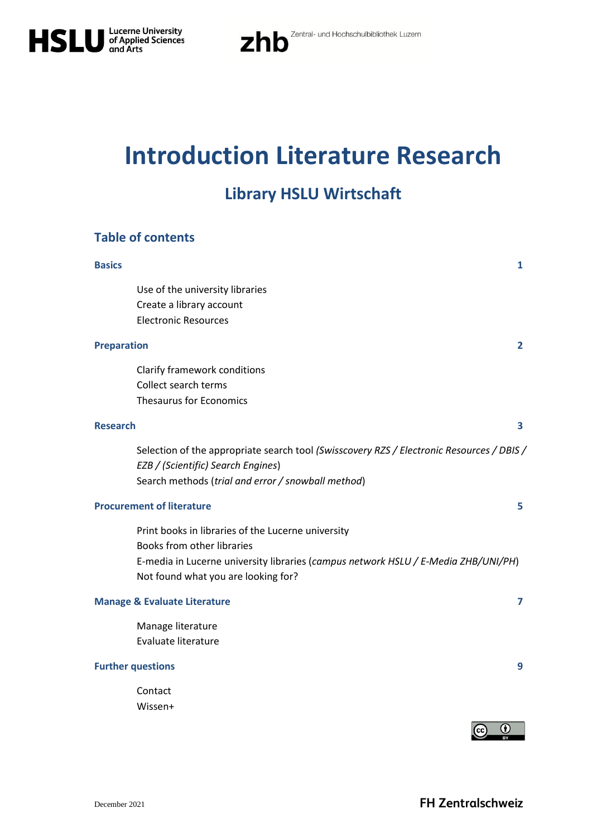

# **Introduction Literature Research**

# **Library HSLU Wirtschaft**

### **Table of contents**

| <b>Basics</b>      |                                                                                                                                                                                                               | 1            |
|--------------------|---------------------------------------------------------------------------------------------------------------------------------------------------------------------------------------------------------------|--------------|
|                    | Use of the university libraries<br>Create a library account<br><b>Electronic Resources</b>                                                                                                                    |              |
| <b>Preparation</b> |                                                                                                                                                                                                               | $\mathbf{2}$ |
|                    | Clarify framework conditions<br>Collect search terms<br><b>Thesaurus for Economics</b>                                                                                                                        |              |
| <b>Research</b>    |                                                                                                                                                                                                               | 3            |
|                    | Selection of the appropriate search tool (Swisscovery RZS / Electronic Resources / DBIS /<br>EZB / (Scientific) Search Engines)<br>Search methods (trial and error / snowball method)                         |              |
|                    | <b>Procurement of literature</b>                                                                                                                                                                              | 5            |
|                    | Print books in libraries of the Lucerne university<br>Books from other libraries<br>E-media in Lucerne university libraries (campus network HSLU / E-Media ZHB/UNI/PH)<br>Not found what you are looking for? |              |
|                    | <b>Manage &amp; Evaluate Literature</b>                                                                                                                                                                       | 7            |
|                    | Manage literature<br>Evaluate literature                                                                                                                                                                      |              |
|                    | <b>Further questions</b>                                                                                                                                                                                      | 9            |
|                    | Contact<br>Wissen+<br>$\bf \bm \Theta$<br>(cc)                                                                                                                                                                |              |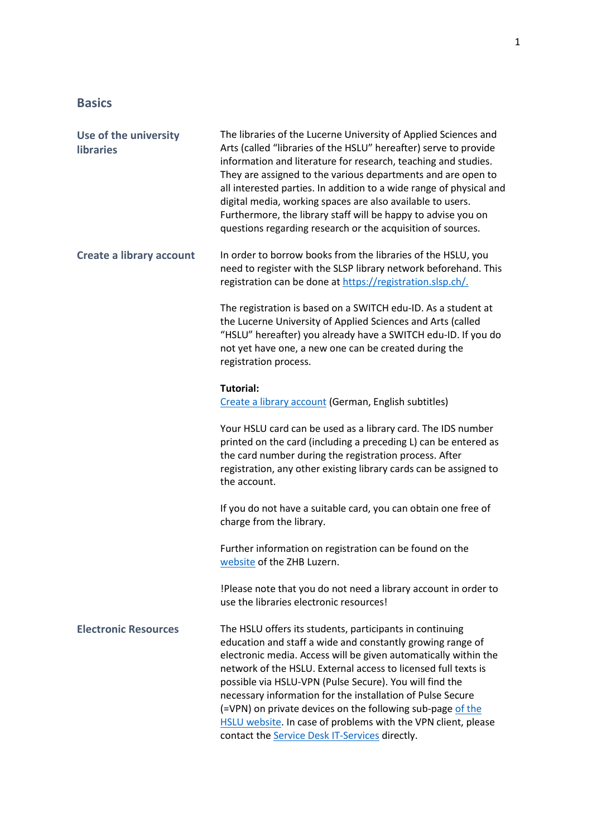## **Basics**

| Use of the university<br><b>libraries</b> | The libraries of the Lucerne University of Applied Sciences and<br>Arts (called "libraries of the HSLU" hereafter) serve to provide<br>information and literature for research, teaching and studies.<br>They are assigned to the various departments and are open to<br>all interested parties. In addition to a wide range of physical and<br>digital media, working spaces are also available to users.<br>Furthermore, the library staff will be happy to advise you on<br>questions regarding research or the acquisition of sources.                            |
|-------------------------------------------|-----------------------------------------------------------------------------------------------------------------------------------------------------------------------------------------------------------------------------------------------------------------------------------------------------------------------------------------------------------------------------------------------------------------------------------------------------------------------------------------------------------------------------------------------------------------------|
| <b>Create a library account</b>           | In order to borrow books from the libraries of the HSLU, you<br>need to register with the SLSP library network beforehand. This<br>registration can be done at https://registration.slsp.ch/.                                                                                                                                                                                                                                                                                                                                                                         |
|                                           | The registration is based on a SWITCH edu-ID. As a student at<br>the Lucerne University of Applied Sciences and Arts (called<br>"HSLU" hereafter) you already have a SWITCH edu-ID. If you do<br>not yet have one, a new one can be created during the<br>registration process.                                                                                                                                                                                                                                                                                       |
|                                           | <b>Tutorial:</b><br>Create a library account (German, English subtitles)                                                                                                                                                                                                                                                                                                                                                                                                                                                                                              |
|                                           | Your HSLU card can be used as a library card. The IDS number<br>printed on the card (including a preceding L) can be entered as<br>the card number during the registration process. After<br>registration, any other existing library cards can be assigned to<br>the account.                                                                                                                                                                                                                                                                                        |
|                                           | If you do not have a suitable card, you can obtain one free of<br>charge from the library.                                                                                                                                                                                                                                                                                                                                                                                                                                                                            |
|                                           | Further information on registration can be found on the<br>website of the ZHB Luzern.                                                                                                                                                                                                                                                                                                                                                                                                                                                                                 |
|                                           | !Please note that you do not need a library account in order to<br>use the libraries electronic resources!                                                                                                                                                                                                                                                                                                                                                                                                                                                            |
| <b>Electronic Resources</b>               | The HSLU offers its students, participants in continuing<br>education and staff a wide and constantly growing range of<br>electronic media. Access will be given automatically within the<br>network of the HSLU. External access to licensed full texts is<br>possible via HSLU-VPN (Pulse Secure). You will find the<br>necessary information for the installation of Pulse Secure<br>(=VPN) on private devices on the following sub-page of the<br>HSLU website. In case of problems with the VPN client, please<br>contact the Service Desk IT-Services directly. |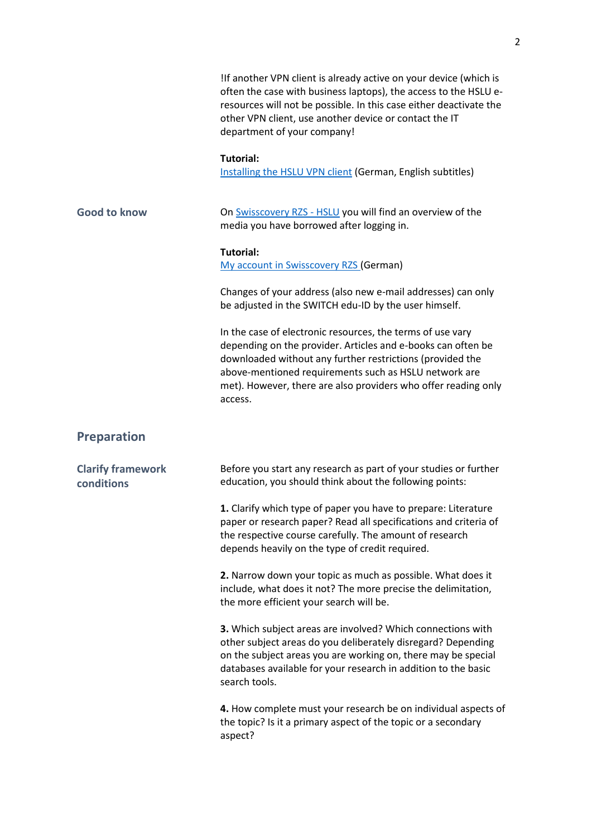|                                        | If another VPN client is already active on your device (which is<br>often the case with business laptops), the access to the HSLU e-<br>resources will not be possible. In this case either deactivate the<br>other VPN client, use another device or contact the IT<br>department of your company!                           |
|----------------------------------------|-------------------------------------------------------------------------------------------------------------------------------------------------------------------------------------------------------------------------------------------------------------------------------------------------------------------------------|
|                                        | <b>Tutorial:</b><br>Installing the HSLU VPN client (German, English subtitles)                                                                                                                                                                                                                                                |
| <b>Good to know</b>                    | On Swisscovery RZS - HSLU you will find an overview of the<br>media you have borrowed after logging in.                                                                                                                                                                                                                       |
|                                        | <b>Tutorial:</b><br>My account in Swisscovery RZS (German)                                                                                                                                                                                                                                                                    |
|                                        | Changes of your address (also new e-mail addresses) can only<br>be adjusted in the SWITCH edu-ID by the user himself.                                                                                                                                                                                                         |
|                                        | In the case of electronic resources, the terms of use vary<br>depending on the provider. Articles and e-books can often be<br>downloaded without any further restrictions (provided the<br>above-mentioned requirements such as HSLU network are<br>met). However, there are also providers who offer reading only<br>access. |
| <b>Preparation</b>                     |                                                                                                                                                                                                                                                                                                                               |
| <b>Clarify framework</b><br>conditions | Before you start any research as part of your studies or further<br>education, you should think about the following points:                                                                                                                                                                                                   |
|                                        | 1. Clarify which type of paper you have to prepare: Literature<br>paper or research paper? Read all specifications and criteria of<br>the respective course carefully. The amount of research<br>depends heavily on the type of credit required.                                                                              |
|                                        | 2. Narrow down your topic as much as possible. What does it<br>include, what does it not? The more precise the delimitation,<br>the more efficient your search will be.                                                                                                                                                       |
|                                        | 3. Which subject areas are involved? Which connections with<br>other subject areas do you deliberately disregard? Depending<br>on the subject areas you are working on, there may be special<br>databases available for your research in addition to the basic<br>search tools.                                               |
|                                        | 4. How complete must your research be on individual aspects of<br>the topic? Is it a primary aspect of the topic or a secondary<br>aspect?                                                                                                                                                                                    |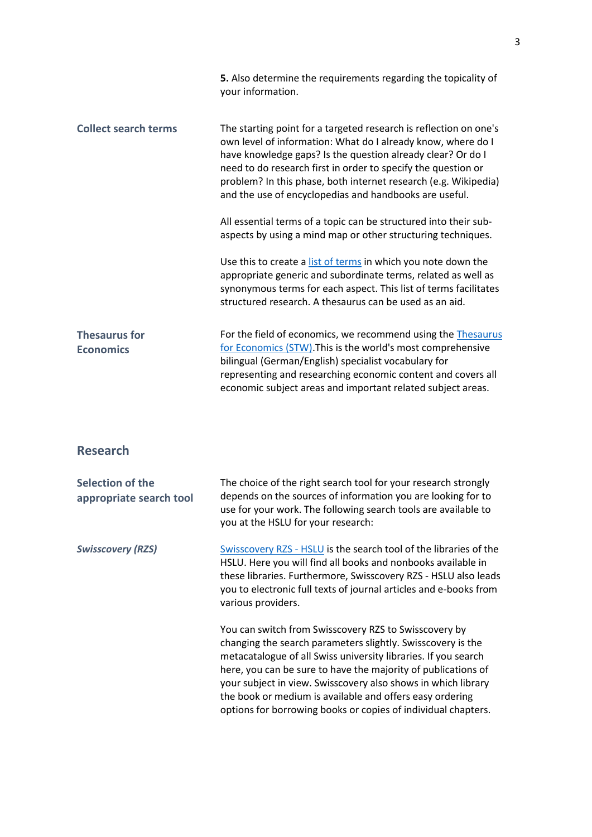|                                             | 5. Also determine the requirements regarding the topicality of<br>your information.                                                                                                                                                                                                                                                                                                            |
|---------------------------------------------|------------------------------------------------------------------------------------------------------------------------------------------------------------------------------------------------------------------------------------------------------------------------------------------------------------------------------------------------------------------------------------------------|
| <b>Collect search terms</b>                 | The starting point for a targeted research is reflection on one's<br>own level of information: What do I already know, where do I<br>have knowledge gaps? Is the question already clear? Or do I<br>need to do research first in order to specify the question or<br>problem? In this phase, both internet research (e.g. Wikipedia)<br>and the use of encyclopedias and handbooks are useful. |
|                                             | All essential terms of a topic can be structured into their sub-<br>aspects by using a mind map or other structuring techniques.                                                                                                                                                                                                                                                               |
|                                             | Use this to create a list of terms in which you note down the<br>appropriate generic and subordinate terms, related as well as<br>synonymous terms for each aspect. This list of terms facilitates<br>structured research. A thesaurus can be used as an aid.                                                                                                                                  |
| <b>Thesaurus for</b><br><b>Economics</b>    | For the field of economics, we recommend using the Thesaurus<br>for Economics (STW). This is the world's most comprehensive<br>bilingual (German/English) specialist vocabulary for<br>representing and researching economic content and covers all<br>economic subject areas and important related subject areas.                                                                             |
| <b>Research</b>                             |                                                                                                                                                                                                                                                                                                                                                                                                |
| Selection of the<br>appropriate search tool | The choice of the right search tool for your research strongly<br>depends on the sources of information you are looking for to<br>use for your work. The following search tools are available to<br>you at the HSLU for your research:                                                                                                                                                         |
| <b>Swisscovery (RZS)</b>                    | Swisscovery RZS - HSLU is the search tool of the libraries of the<br>HSLU. Here you will find all books and nonbooks available in<br>these libraries. Furthermore, Swisscovery RZS - HSLU also leads<br>you to electronic full texts of journal articles and e-books from<br>various providers.                                                                                                |
|                                             | You can switch from Swisscovery RZS to Swisscovery by<br>changing the search parameters slightly. Swisscovery is the<br>metacatalogue of all Swiss university libraries. If you search<br>here, you can be sure to have the majority of publications of<br>your subject in view. Swisscovery also shows in which library                                                                       |

the book or medium is available and offers easy ordering options for borrowing books or copies of individual chapters.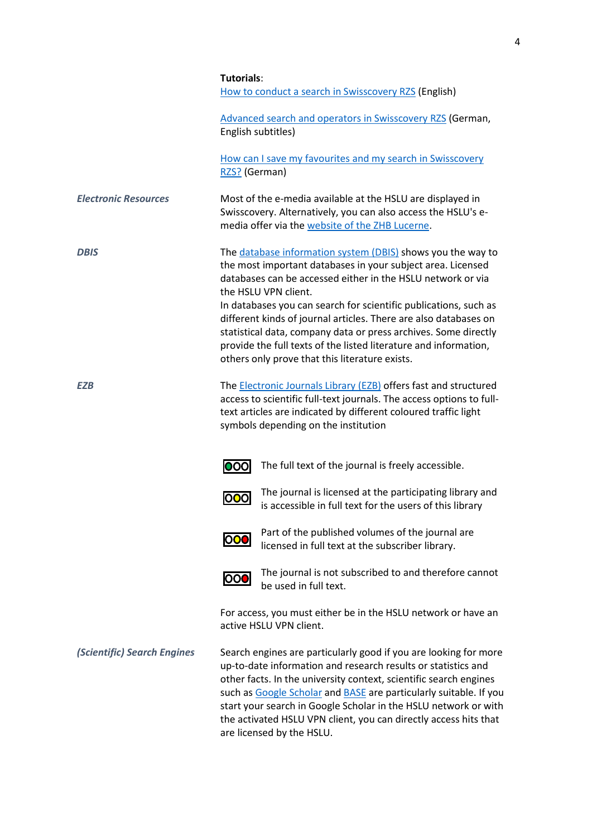|                             | <b>Tutorials:</b><br>How to conduct a search in Swisscovery RZS (English)                                                                                                                                                                                                                                                                                                                                                                                                                                                                          |
|-----------------------------|----------------------------------------------------------------------------------------------------------------------------------------------------------------------------------------------------------------------------------------------------------------------------------------------------------------------------------------------------------------------------------------------------------------------------------------------------------------------------------------------------------------------------------------------------|
|                             | Advanced search and operators in Swisscovery RZS (German,<br>English subtitles)                                                                                                                                                                                                                                                                                                                                                                                                                                                                    |
|                             | How can I save my favourites and my search in Swisscovery<br>RZS? (German)                                                                                                                                                                                                                                                                                                                                                                                                                                                                         |
| <b>Electronic Resources</b> | Most of the e-media available at the HSLU are displayed in<br>Swisscovery. Alternatively, you can also access the HSLU's e-<br>media offer via the website of the ZHB Lucerne.                                                                                                                                                                                                                                                                                                                                                                     |
| <b>DBIS</b>                 | The database information system (DBIS) shows you the way to<br>the most important databases in your subject area. Licensed<br>databases can be accessed either in the HSLU network or via<br>the HSLU VPN client.<br>In databases you can search for scientific publications, such as<br>different kinds of journal articles. There are also databases on<br>statistical data, company data or press archives. Some directly<br>provide the full texts of the listed literature and information,<br>others only prove that this literature exists. |
| <b>EZB</b>                  | The <b>Electronic Journals Library (EZB)</b> offers fast and structured<br>access to scientific full-text journals. The access options to full-<br>text articles are indicated by different coloured traffic light<br>symbols depending on the institution                                                                                                                                                                                                                                                                                         |
|                             | The full text of the journal is freely accessible.<br>000                                                                                                                                                                                                                                                                                                                                                                                                                                                                                          |
|                             | The journal is licensed at the participating library and<br>000<br>is accessible in full text for the users of this library                                                                                                                                                                                                                                                                                                                                                                                                                        |
|                             | Part of the published volumes of the journal are<br><b>1001</b><br>licensed in full text at the subscriber library.                                                                                                                                                                                                                                                                                                                                                                                                                                |
|                             | The journal is not subscribed to and therefore cannot<br><u> 000</u><br>be used in full text.                                                                                                                                                                                                                                                                                                                                                                                                                                                      |
|                             | For access, you must either be in the HSLU network or have an<br>active HSLU VPN client.                                                                                                                                                                                                                                                                                                                                                                                                                                                           |
| (Scientific) Search Engines | Search engines are particularly good if you are looking for more<br>up-to-date information and research results or statistics and<br>other facts. In the university context, scientific search engines<br>such as Google Scholar and <b>BASE</b> are particularly suitable. If you<br>start your search in Google Scholar in the HSLU network or with<br>the activated HSLU VPN client, you can directly access hits that<br>are licensed by the HSLU.                                                                                             |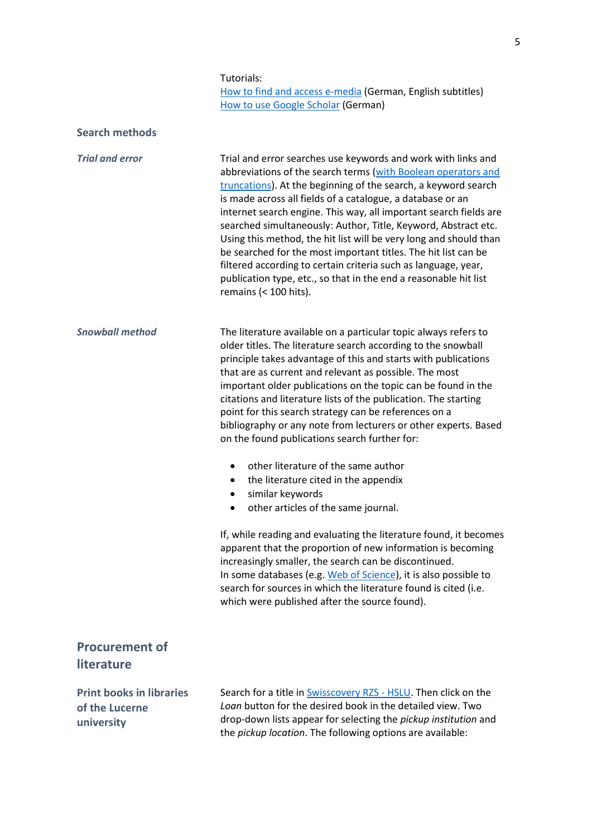#### Tutorials:

How to find and access [e-media](https://www.youtube.com/watch?v=L7FiVtbBt7U&list=PLXHJ7fFokv69EE5sRNcZsRd3J9OywqNx-&index=7&t=7s) (German, English subtitles) How to use Google [Scholar](https://www.youtube.com/watch?v=zr5xclWZHJ4&t=58s) (German)

| <b>Search methods</b>                                           |                                                                                                                                                                                                                                                                                                                                                                                                                                                                                                                                                                                                                                                                                                                                                                                                                                                                                                                                                                                                                                                                                                                                                         |
|-----------------------------------------------------------------|---------------------------------------------------------------------------------------------------------------------------------------------------------------------------------------------------------------------------------------------------------------------------------------------------------------------------------------------------------------------------------------------------------------------------------------------------------------------------------------------------------------------------------------------------------------------------------------------------------------------------------------------------------------------------------------------------------------------------------------------------------------------------------------------------------------------------------------------------------------------------------------------------------------------------------------------------------------------------------------------------------------------------------------------------------------------------------------------------------------------------------------------------------|
| <b>Trial and error</b>                                          | Trial and error searches use keywords and work with links and<br>abbreviations of the search terms (with Boolean operators and<br>truncations). At the beginning of the search, a keyword search<br>is made across all fields of a catalogue, a database or an<br>internet search engine. This way, all important search fields are<br>searched simultaneously: Author, Title, Keyword, Abstract etc.<br>Using this method, the hit list will be very long and should than<br>be searched for the most important titles. The hit list can be<br>filtered according to certain criteria such as language, year,<br>publication type, etc., so that in the end a reasonable hit list<br>remains $(< 100$ hits).                                                                                                                                                                                                                                                                                                                                                                                                                                           |
| <b>Snowball method</b>                                          | The literature available on a particular topic always refers to<br>older titles. The literature search according to the snowball<br>principle takes advantage of this and starts with publications<br>that are as current and relevant as possible. The most<br>important older publications on the topic can be found in the<br>citations and literature lists of the publication. The starting<br>point for this search strategy can be references on a<br>bibliography or any note from lecturers or other experts. Based<br>on the found publications search further for:<br>other literature of the same author<br>$\bullet$<br>the literature cited in the appendix<br>$\bullet$<br>similar keywords<br>$\bullet$<br>other articles of the same journal.<br>٠<br>If, while reading and evaluating the literature found, it becomes<br>apparent that the proportion of new information is becoming<br>increasingly smaller, the search can be discontinued.<br>In some databases (e.g. Web of Science), it is also possible to<br>search for sources in which the literature found is cited (i.e.<br>which were published after the source found). |
| <b>Procurement of</b><br>literature                             |                                                                                                                                                                                                                                                                                                                                                                                                                                                                                                                                                                                                                                                                                                                                                                                                                                                                                                                                                                                                                                                                                                                                                         |
| <b>Print books in libraries</b><br>of the Lucerne<br>university | Search for a title in <b>Swisscovery RZS - HSLU</b> . Then click on the<br>Loan button for the desired book in the detailed view. Two<br>drop-down lists appear for selecting the <i>pickup institution</i> and<br>the pickup location. The following options are available:                                                                                                                                                                                                                                                                                                                                                                                                                                                                                                                                                                                                                                                                                                                                                                                                                                                                            |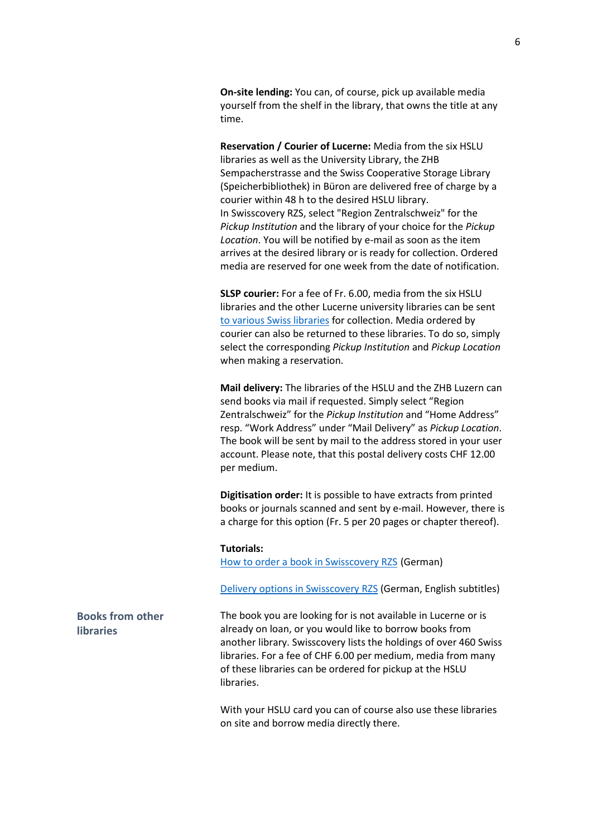**On-site lending:** You can, of course, pick up available media yourself from the shelf in the library, that owns the title at any time.

**Reservation / Courier of Lucerne:** Media from the six HSLU libraries as well as the University Library, the ZHB Sempacherstrasse and the Swiss Cooperative Storage Library (Speicherbibliothek) in Büron are delivered free of charge by a courier within 48 h to the desired HSLU library. In Swisscovery RZS, select "Region Zentralschweiz" for the *Pickup Institution* and the library of your choice for the *Pickup Location*. You will be notified by e-mail as soon as the item arrives at the desired library or is ready for collection. Ordered media are reserved for one week from the date of notification.

**SLSP courier:** For a fee of Fr. 6.00, media from the six HSLU libraries and the other Lucerne university libraries can be sent [to various Swiss libraries](https://registration.slsp.ch/libraries/) for collection. Media ordered by courier can also be returned to these libraries. To do so, simply select the corresponding *Pickup Institution* and *Pickup Location* when making a reservation.

**Mail delivery:** The libraries of the HSLU and the ZHB Luzern can send books via mail if requested. Simply select "Region Zentralschweiz" for the *Pickup Institution* and "Home Address" resp. "Work Address" under "Mail Delivery" as *Pickup Location*. The book will be sent by mail to the address stored in your user account. Please note, that this postal delivery costs CHF 12.00 per medium.

**Digitisation order:** It is possible to have extracts from printed books or journals scanned and sent by e-mail. However, there is a charge for this option (Fr. 5 per 20 pages or chapter thereof).

#### **Tutorials:**

[How to order a book in Swisscovery RZS](https://www.youtube.com/watch?v=DaJbE67KwVs&t=1s) (German)

[Delivery options in Swisscovery RZS](https://www.youtube.com/watch?v=130bo4ZDjAs) (German, English subtitles)

The book you are looking for is not available in Lucerne or is already on loan, or you would like to borrow books from another library. Swisscovery lists the holdings of over 460 Swiss libraries. For a fee of CHF 6.00 per medium, media from many of these libraries can be ordered for pickup at the HSLU libraries.

With your HSLU card you can of course also use these libraries on site and borrow media directly there.

**Books from other libraries**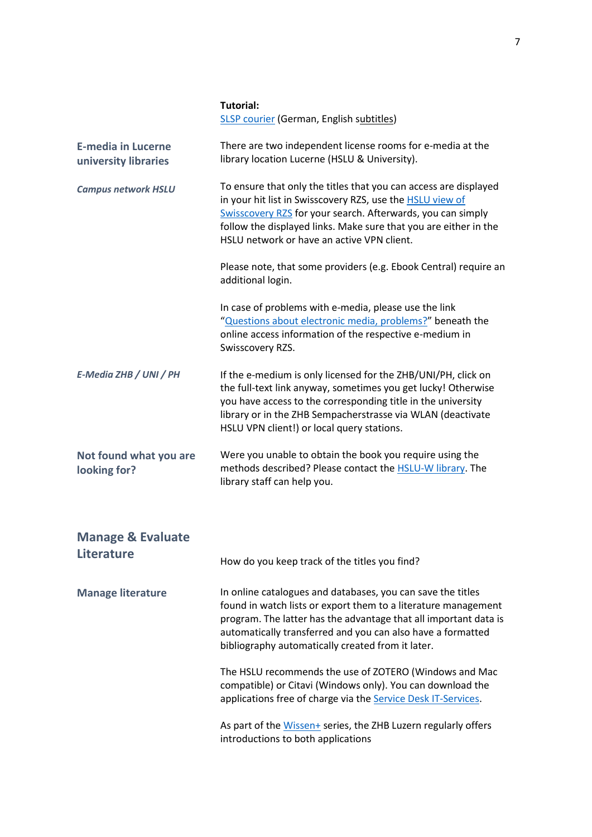|                                                   | <b>Tutorial:</b><br><b>SLSP courier (German, English subtitles)</b>                                                                                                                                                                                                                                                   |
|---------------------------------------------------|-----------------------------------------------------------------------------------------------------------------------------------------------------------------------------------------------------------------------------------------------------------------------------------------------------------------------|
| <b>E-media in Lucerne</b><br>university libraries | There are two independent license rooms for e-media at the<br>library location Lucerne (HSLU & University).                                                                                                                                                                                                           |
| <b>Campus network HSLU</b>                        | To ensure that only the titles that you can access are displayed<br>in your hit list in Swisscovery RZS, use the <b>HSLU view of</b><br>Swisscovery RZS for your search. Afterwards, you can simply<br>follow the displayed links. Make sure that you are either in the<br>HSLU network or have an active VPN client. |
|                                                   | Please note, that some providers (e.g. Ebook Central) require an<br>additional login.                                                                                                                                                                                                                                 |
|                                                   | In case of problems with e-media, please use the link<br>"Questions about electronic media, problems?" beneath the<br>online access information of the respective e-medium in<br>Swisscovery RZS.                                                                                                                     |
| E-Media ZHB / UNI / PH                            | If the e-medium is only licensed for the ZHB/UNI/PH, click on<br>the full-text link anyway, sometimes you get lucky! Otherwise<br>you have access to the corresponding title in the university<br>library or in the ZHB Sempacherstrasse via WLAN (deactivate<br>HSLU VPN client!) or local query stations.           |
| Not found what you are<br>looking for?            | Were you unable to obtain the book you require using the<br>methods described? Please contact the <b>HSLU-W library</b> . The<br>library staff can help you.                                                                                                                                                          |
| <b>Manage &amp; Evaluate</b>                      |                                                                                                                                                                                                                                                                                                                       |
| <b>Literature</b>                                 | How do you keep track of the titles you find?                                                                                                                                                                                                                                                                         |
| <b>Manage literature</b>                          | In online catalogues and databases, you can save the titles<br>found in watch lists or export them to a literature management<br>program. The latter has the advantage that all important data is<br>automatically transferred and you can also have a formatted<br>bibliography automatically created from it later. |
|                                                   | The HSLU recommends the use of ZOTERO (Windows and Mac<br>compatible) or Citavi (Windows only). You can download the<br>applications free of charge via the Service Desk IT-Services.                                                                                                                                 |
|                                                   | As part of the Wissen+ series, the ZHB Luzern regularly offers<br>introductions to both applications                                                                                                                                                                                                                  |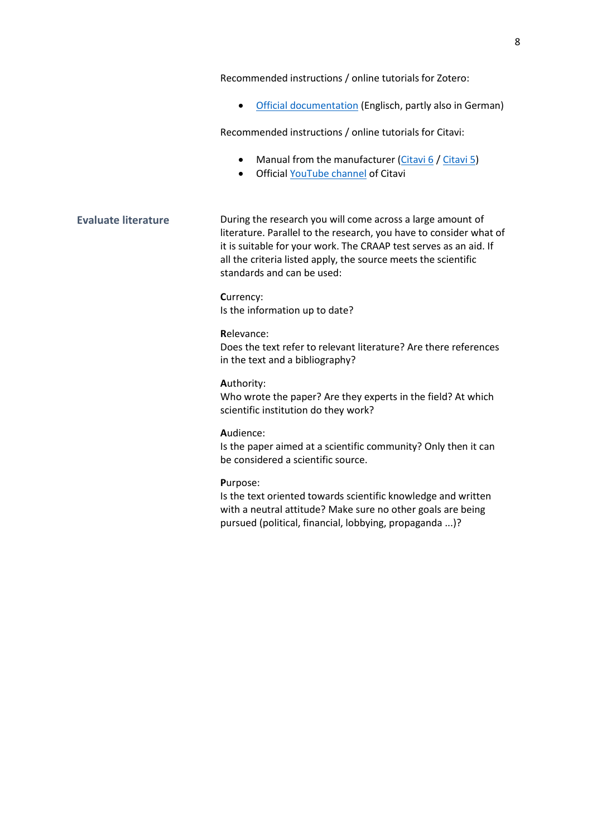Recommended instructions / online tutorials for Zotero:

• [Official documentation](https://www.zotero.org/support/start) (Englisch, partly also in German)

Recommended instructions / online tutorials for Citavi:

- Manual from the manufacturer [\(Citavi 6](https://www1.citavi.com/sub/manual6/de/index.html) [/ Citavi 5\)](https://www1.citavi.com/sub/manual5/de/index.html?contents.html)
- Official [YouTube channel](https://www.youtube.com/citaviteam) of Citavi

**Evaluate literature** During the research you will come across a large amount of literature. Parallel to the research, you have to consider what of it is suitable for your work. The CRAAP test serves as an aid. If all the criteria listed apply, the source meets the scientific standards and can be used:

> **C**urrency: Is the information up to date?

#### **R**elevance:

Does the text refer to relevant literature? Are there references in the text and a bibliography?

#### **A**uthority:

Who wrote the paper? Are they experts in the field? At which scientific institution do they work?

#### **A**udience:

Is the paper aimed at a scientific community? Only then it can be considered a scientific source.

#### **P**urpose:

Is the text oriented towards scientific knowledge and written with a neutral attitude? Make sure no other goals are being pursued (political, financial, lobbying, propaganda ...)?